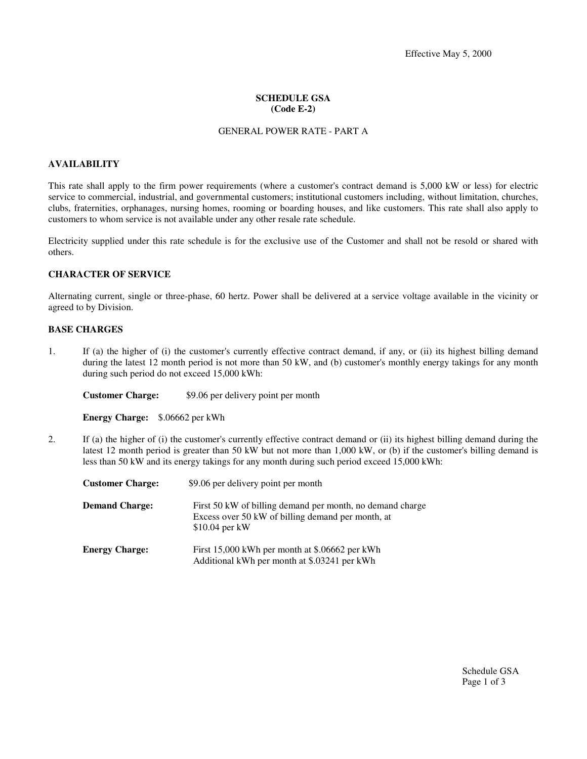# **SCHEDULE GSA (Code E-2)**

### GENERAL POWER RATE - PART A

#### **AVAILABILITY**

This rate shall apply to the firm power requirements (where a customer's contract demand is 5,000 kW or less) for electric service to commercial, industrial, and governmental customers; institutional customers including, without limitation, churches, clubs, fraternities, orphanages, nursing homes, rooming or boarding houses, and like customers. This rate shall also apply to customers to whom service is not available under any other resale rate schedule.

Electricity supplied under this rate schedule is for the exclusive use of the Customer and shall not be resold or shared with others.

#### **CHARACTER OF SERVICE**

Alternating current, single or three-phase, 60 hertz. Power shall be delivered at a service voltage available in the vicinity or agreed to by Division.

# **BASE CHARGES**

1. If (a) the higher of (i) the customer's currently effective contract demand, if any, or (ii) its highest billing demand during the latest 12 month period is not more than 50 kW, and (b) customer's monthly energy takings for any month during such period do not exceed 15,000 kWh:

**Customer Charge:** \$9.06 per delivery point per month

**Energy Charge:** \$.06662 per kWh

2. If (a) the higher of (i) the customer's currently effective contract demand or (ii) its highest billing demand during the latest 12 month period is greater than 50 kW but not more than 1,000 kW, or (b) if the customer's billing demand is less than 50 kW and its energy takings for any month during such period exceed 15,000 kWh:

| <b>Customer Charge:</b> | \$9.06 per delivery point per month                                                                                              |
|-------------------------|----------------------------------------------------------------------------------------------------------------------------------|
| <b>Demand Charge:</b>   | First 50 kW of billing demand per month, no demand charge<br>Excess over 50 kW of billing demand per month, at<br>\$10.04 per kW |
| <b>Energy Charge:</b>   | First 15,000 kWh per month at \$.06662 per kWh<br>Additional kWh per month at \$.03241 per kWh                                   |

Schedule GSA Page 1 of 3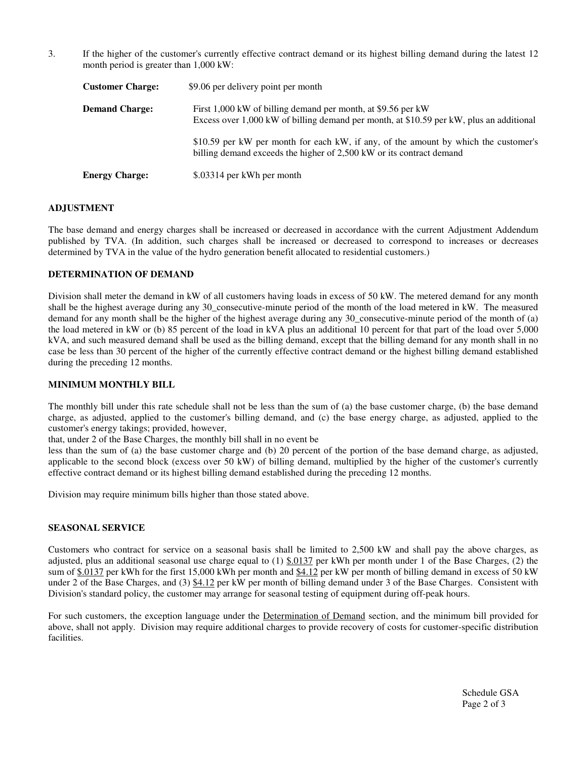3. If the higher of the customer's currently effective contract demand or its highest billing demand during the latest 12 month period is greater than 1,000 kW:

| <b>Customer Charge:</b> | \$9.06 per delivery point per month                                                                                                                         |
|-------------------------|-------------------------------------------------------------------------------------------------------------------------------------------------------------|
| <b>Demand Charge:</b>   | First 1,000 kW of billing demand per month, at \$9.56 per kW<br>Excess over 1,000 kW of billing demand per month, at \$10.59 per kW, plus an additional     |
|                         | \$10.59 per kW per month for each kW, if any, of the amount by which the customer's<br>billing demand exceeds the higher of 2,500 kW or its contract demand |
| <b>Energy Charge:</b>   | \$.03314 per kWh per month                                                                                                                                  |

# **ADJUSTMENT**

The base demand and energy charges shall be increased or decreased in accordance with the current Adjustment Addendum published by TVA. (In addition, such charges shall be increased or decreased to correspond to increases or decreases determined by TVA in the value of the hydro generation benefit allocated to residential customers.)

## **DETERMINATION OF DEMAND**

Division shall meter the demand in kW of all customers having loads in excess of 50 kW. The metered demand for any month shall be the highest average during any 30\_consecutive-minute period of the month of the load metered in kW. The measured demand for any month shall be the higher of the highest average during any 30 consecutive-minute period of the month of (a) the load metered in kW or (b) 85 percent of the load in kVA plus an additional 10 percent for that part of the load over 5,000 kVA, and such measured demand shall be used as the billing demand, except that the billing demand for any month shall in no case be less than 30 percent of the higher of the currently effective contract demand or the highest billing demand established during the preceding 12 months.

## **MINIMUM MONTHLY BILL**

The monthly bill under this rate schedule shall not be less than the sum of (a) the base customer charge, (b) the base demand charge, as adjusted, applied to the customer's billing demand, and (c) the base energy charge, as adjusted, applied to the customer's energy takings; provided, however,

that, under 2 of the Base Charges, the monthly bill shall in no event be

less than the sum of (a) the base customer charge and (b) 20 percent of the portion of the base demand charge, as adjusted, applicable to the second block (excess over 50 kW) of billing demand, multiplied by the higher of the customer's currently effective contract demand or its highest billing demand established during the preceding 12 months.

Division may require minimum bills higher than those stated above.

# **SEASONAL SERVICE**

Customers who contract for service on a seasonal basis shall be limited to 2,500 kW and shall pay the above charges, as adjusted, plus an additional seasonal use charge equal to  $(1)$  \$.0137 per kWh per month under 1 of the Base Charges,  $(2)$  the sum of \$.0137 per kWh for the first 15,000 kWh per month and \$4.12 per kW per month of billing demand in excess of 50 kW under 2 of the Base Charges, and (3) \$4.12 per kW per month of billing demand under 3 of the Base Charges. Consistent with Division's standard policy, the customer may arrange for seasonal testing of equipment during off-peak hours.

For such customers, the exception language under the Determination of Demand section, and the minimum bill provided for above, shall not apply. Division may require additional charges to provide recovery of costs for customer-specific distribution facilities.